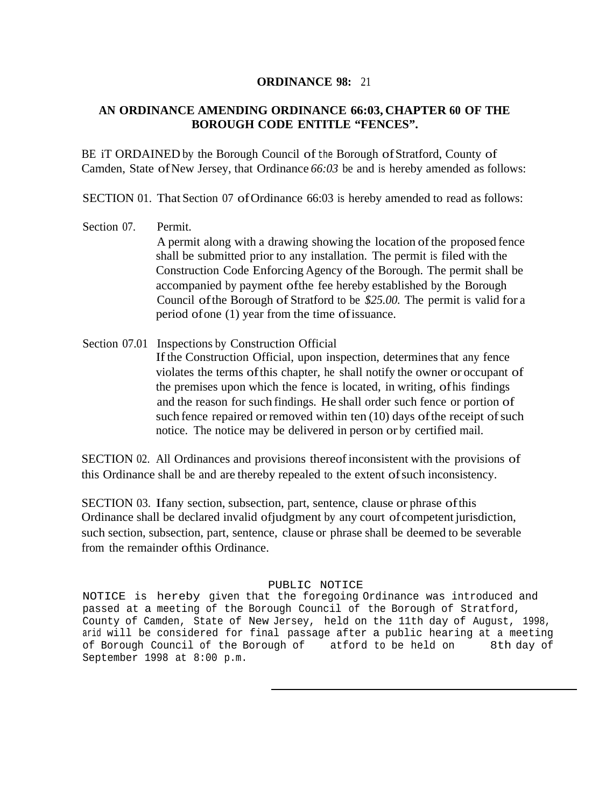## **ORDINANCE 98:** 21

## **AN ORDINANCE AMENDING ORDINANCE 66:03, CHAPTER 60 OF THE BOROUGH CODE ENTITLE "FENCES".**

BE iT ORDAINED by the Borough Council of the Borough ofStratford, County of Camden, State of New Jersey, that Ordinance  $66:03$  be and is hereby amended as follows:

SECTION 01. That Section 07 of Ordinance 66:03 is hereby amended to read as follows:

- Section 07 Permit. A permit along with a drawing showing the location of the proposed fence shall be submitted prior to any installation. The permit is filed with the Construction Code Enforcing Agency of the Borough. The permit shall be accompanied by payment ofthe fee hereby established by the Borough Council ofthe Borough of Stratford to be *\$25.00.* The permit is valid for a period ofone (1) year from the time ofissuance.
- Section 07.01 Inspections by Construction Official If the Construction Official, upon inspection, determines that any fence violates the terms ofthis chapter, he shall notify the owner or occupant of the premises upon which the fence is located, in writing, ofhis findings and the reason for such findings. He shall order such fence or portion of such fence repaired or removed within ten  $(10)$  days of the receipt of such notice. The notice may be delivered in person or by certified mail.

SECTION 02. All Ordinances and provisions thereofinconsistent with the provisions of this Ordinance shall be and are thereby repealed to the extent ofsuch inconsistency.

SECTION 03. Ifany section, subsection, part, sentence, clause or phrase ofthis Ordinance shall be declared invalid ofjudgment by any court ofcompetent jurisdiction, such section, subsection, part, sentence, clause or phrase shall be deemed to be severable from the remainder ofthis Ordinance.

## PUBLIC NOTICE

NOTICE is hereby given that the foregoing Ordinance was introduced and passed at a meeting of the Borough Council of the Borough of Stratford, County of Camden, State of New Jersey, held on the 11th day of August, 1998, arid will be considered for final passage after a public hearing at a meeting of Borough Council of the Borough of atford to be held on 8th day of September 1998 at 8:00 p.m.